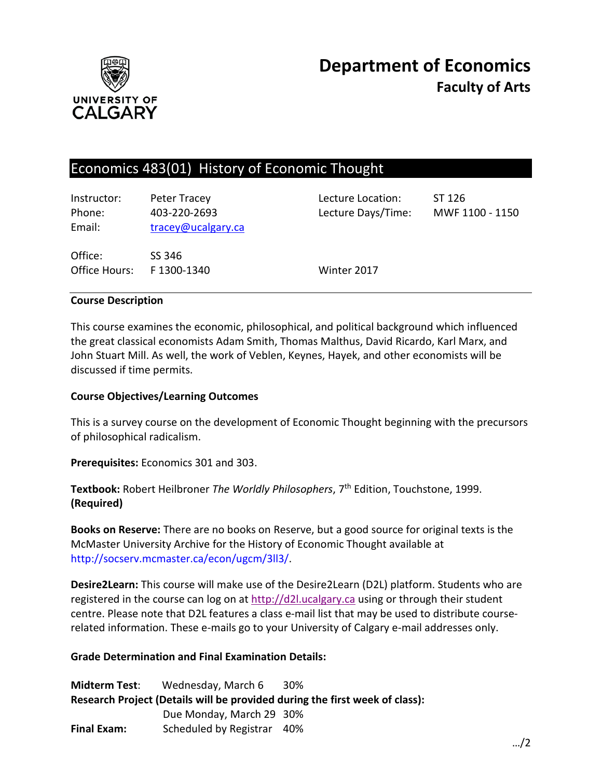

# Economics 483(01) History of Economic Thought

| Instructor:<br>Phone:<br>Email: | Peter Tracey<br>403-220-2693<br>tracey@ucalgary.ca | Lecture Location:<br>Lecture Days/Time: | ST 126<br>MWF 1100 - 1150 |
|---------------------------------|----------------------------------------------------|-----------------------------------------|---------------------------|
| Office:<br>Office Hours:        | SS 346<br>F 1300-1340                              | Winter 2017                             |                           |

### **Course Description**

This course examines the economic, philosophical, and political background which influenced the great classical economists Adam Smith, Thomas Malthus, David Ricardo, Karl Marx, and John Stuart Mill. As well, the work of Veblen, Keynes, Hayek, and other economists will be discussed if time permits.

### **Course Objectives/Learning Outcomes**

This is a survey course on the development of Economic Thought beginning with the precursors of philosophical radicalism.

**Prerequisites:** Economics 301 and 303.

**Textbook:** Robert Heilbroner *The Worldly Philosophers*, 7<sup>th</sup> Edition, Touchstone, 1999. **(Required)**

**Books on Reserve:** There are no books on Reserve, but a good source for original texts is the McMaster University Archive for the History of Economic Thought available at http://socserv.mcmaster.ca/econ/ugcm/3ll3/.

**Desire2Learn:** This course will make use of the Desire2Learn (D2L) platform. Students who are registered in the course can log on at [http://d2l.ucalgary.ca](http://d2l.ucalgary.ca/) using or through their student centre. Please note that D2L features a class e-mail list that may be used to distribute courserelated information. These e-mails go to your University of Calgary e-mail addresses only.

### **Grade Determination and Final Examination Details:**

**Midterm Test**: Wednesday, March 6 30% **Research Project (Details will be provided during the first week of class):** Due Monday, March 29 30% **Final Exam:** Scheduled by Registrar 40%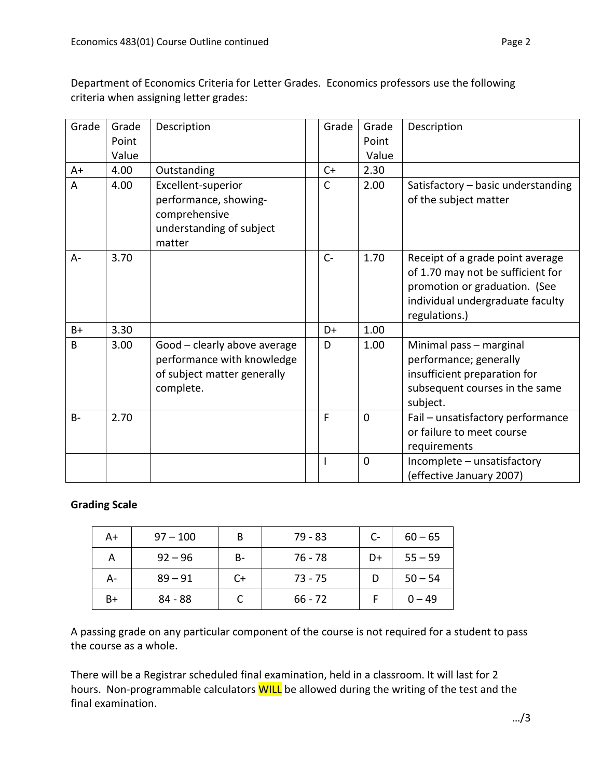Department of Economics Criteria for Letter Grades. Economics professors use the following criteria when assigning letter grades:

| Grade     | Grade<br>Point | Description                                                                                            | Grade        | Grade<br>Point | Description                                                                                                                                                 |
|-----------|----------------|--------------------------------------------------------------------------------------------------------|--------------|----------------|-------------------------------------------------------------------------------------------------------------------------------------------------------------|
|           | Value          |                                                                                                        |              | Value          |                                                                                                                                                             |
| $A+$      | 4.00           | Outstanding                                                                                            | $C+$         | 2.30           |                                                                                                                                                             |
| A         | 4.00           | Excellent-superior<br>performance, showing-<br>comprehensive<br>understanding of subject<br>matter     | $\mathsf{C}$ | 2.00           | Satisfactory - basic understanding<br>of the subject matter                                                                                                 |
| $A -$     | 3.70           |                                                                                                        | $C -$        | 1.70           | Receipt of a grade point average<br>of 1.70 may not be sufficient for<br>promotion or graduation. (See<br>individual undergraduate faculty<br>regulations.) |
| $B+$      | 3.30           |                                                                                                        | D+           | 1.00           |                                                                                                                                                             |
| B         | 3.00           | Good - clearly above average<br>performance with knowledge<br>of subject matter generally<br>complete. | D            | 1.00           | Minimal pass - marginal<br>performance; generally<br>insufficient preparation for<br>subsequent courses in the same<br>subject.                             |
| <b>B-</b> | 2.70           |                                                                                                        | F            | $\mathbf{0}$   | Fail - unsatisfactory performance<br>or failure to meet course<br>requirements                                                                              |
|           |                |                                                                                                        |              | $\mathbf{0}$   | Incomplete - unsatisfactory<br>(effective January 2007)                                                                                                     |

# **Grading Scale**

| A+ | $97 - 100$ | B  | 79 - 83   | $C-$ | $60 - 65$ |
|----|------------|----|-----------|------|-----------|
| Α  | $92 - 96$  | B- | 76 - 78   | D+   | $55 - 59$ |
| А- | $89 - 91$  | C+ | $73 - 75$ |      | $50 - 54$ |
| B+ | 84 - 88    |    | $66 - 72$ |      | $0 - 49$  |

A passing grade on any particular component of the course is not required for a student to pass the course as a whole.

There will be a Registrar scheduled final examination, held in a classroom. It will last for 2 hours. Non-programmable calculators WILL be allowed during the writing of the test and the final examination.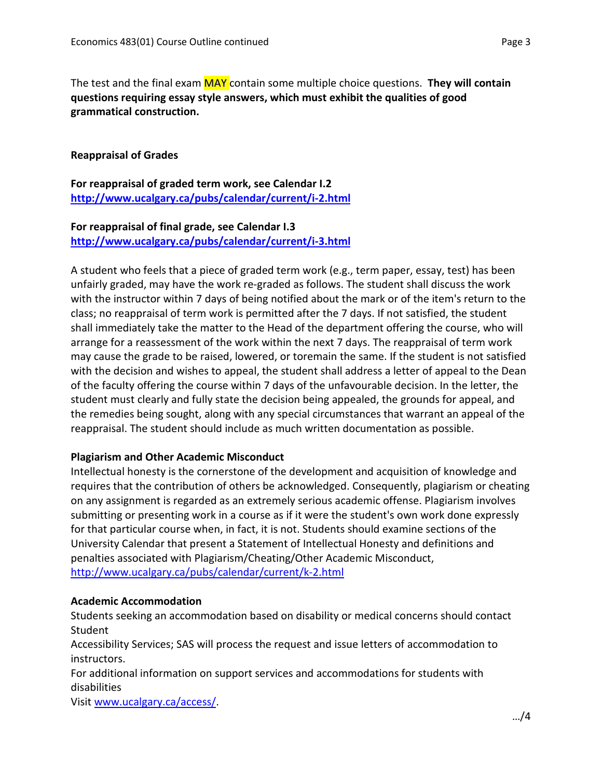The test and the final exam MAY contain some multiple choice questions. **They will contain questions requiring essay style answers, which must exhibit the qualities of good grammatical construction.**

### **Reappraisal of Grades**

**For reappraisal of graded term work, see Calendar I.2 <http://www.ucalgary.ca/pubs/calendar/current/i-2.html>**

# **For reappraisal of final grade, see Calendar I.3**

**<http://www.ucalgary.ca/pubs/calendar/current/i-3.html>**

A student who feels that a piece of graded term work (e.g., term paper, essay, test) has been unfairly graded, may have the work re-graded as follows. The student shall discuss the work with the instructor within 7 days of being notified about the mark or of the item's return to the class; no reappraisal of term work is permitted after the 7 days. If not satisfied, the student shall immediately take the matter to the Head of the department offering the course, who will arrange for a reassessment of the work within the next 7 days. The reappraisal of term work may cause the grade to be raised, lowered, or toremain the same. If the student is not satisfied with the decision and wishes to appeal, the student shall address a letter of appeal to the Dean of the faculty offering the course within 7 days of the unfavourable decision. In the letter, the student must clearly and fully state the decision being appealed, the grounds for appeal, and the remedies being sought, along with any special circumstances that warrant an appeal of the reappraisal. The student should include as much written documentation as possible.

### **Plagiarism and Other Academic Misconduct**

Intellectual honesty is the cornerstone of the development and acquisition of knowledge and requires that the contribution of others be acknowledged. Consequently, plagiarism or cheating on any assignment is regarded as an extremely serious academic offense. Plagiarism involves submitting or presenting work in a course as if it were the student's own work done expressly for that particular course when, in fact, it is not. Students should examine sections of the University Calendar that present a Statement of Intellectual Honesty and definitions and penalties associated with Plagiarism/Cheating/Other Academic Misconduct, <http://www.ucalgary.ca/pubs/calendar/current/k-2.html>

#### **Academic Accommodation**

Students seeking an accommodation based on disability or medical concerns should contact Student

Accessibility Services; SAS will process the request and issue letters of accommodation to instructors.

For additional information on support services and accommodations for students with disabilities

Visi[t www.ucalgary.ca/access/.](http://www.ucalgary.ca/access/)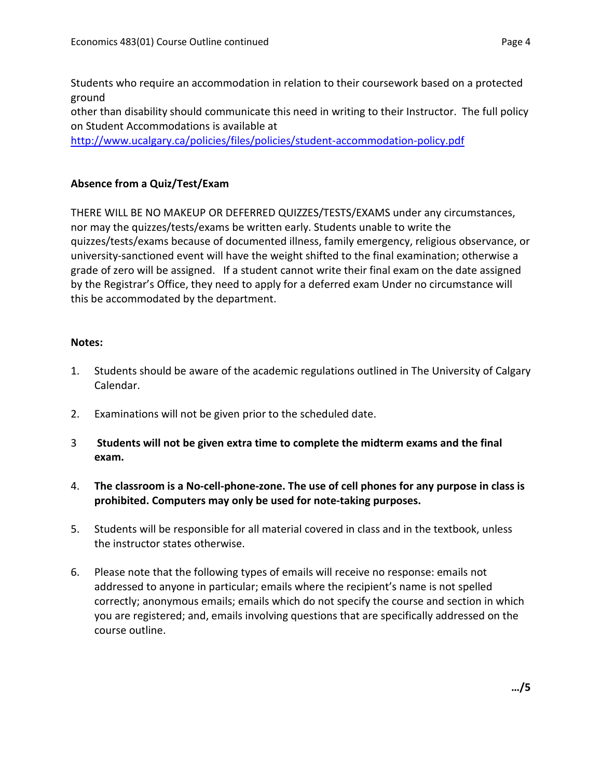Students who require an accommodation in relation to their coursework based on a protected ground

other than disability should communicate this need in writing to their Instructor. The full policy on Student Accommodations is available at

<http://www.ucalgary.ca/policies/files/policies/student-accommodation-policy.pdf>

# **Absence from a Quiz/Test/Exam**

THERE WILL BE NO MAKEUP OR DEFERRED QUIZZES/TESTS/EXAMS under any circumstances, nor may the quizzes/tests/exams be written early. Students unable to write the quizzes/tests/exams because of documented illness, family emergency, religious observance, or university-sanctioned event will have the weight shifted to the final examination; otherwise a grade of zero will be assigned. If a student cannot write their final exam on the date assigned by the Registrar's Office, they need to apply for a deferred exam Under no circumstance will this be accommodated by the department.

## **Notes:**

- 1. Students should be aware of the academic regulations outlined in The University of Calgary Calendar.
- 2. Examinations will not be given prior to the scheduled date.
- 3 **Students will not be given extra time to complete the midterm exams and the final exam.**
- 4. **The classroom is a No-cell-phone-zone. The use of cell phones for any purpose in class is prohibited. Computers may only be used for note-taking purposes.**
- 5. Students will be responsible for all material covered in class and in the textbook, unless the instructor states otherwise.
- 6. Please note that the following types of emails will receive no response: emails not addressed to anyone in particular; emails where the recipient's name is not spelled correctly; anonymous emails; emails which do not specify the course and section in which you are registered; and, emails involving questions that are specifically addressed on the course outline.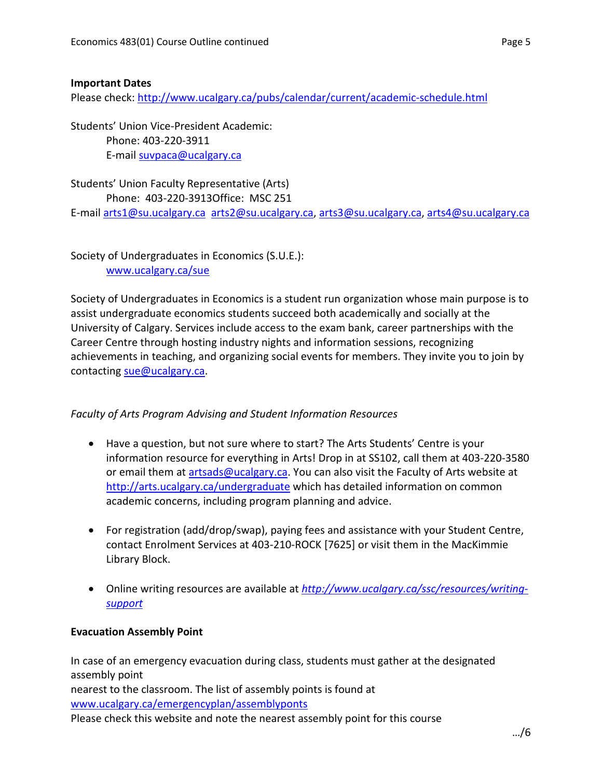## **Important Dates**

Please check:<http://www.ucalgary.ca/pubs/calendar/current/academic-schedule.html>

Students' Union Vice-President Academic: Phone: 403-220-3911 E-mail [suvpaca@ucalgary.ca](mailto:subpaca@ucalgary.ca)

Students' Union Faculty Representative (Arts) Phone: 403-220-3913Office: MSC 251 E-mail [arts1@su.ucalgary.ca](mailto:arts1@su.ucalgary.ca) [arts2@su.ucalgary.ca,](mailto:arts2@su.ucalgary.ca) [arts3@su.ucalgary.ca,](mailto:arts3@su.ucalgary.ca) [arts4@su.ucalgary.ca](mailto:arts4@su.ucalgary.ca)

Society of Undergraduates in Economics (S.U.E.): [www.ucalgary.ca/sue](http://www.fp.ucalgary.ca/econ)

Society of Undergraduates in Economics is a student run organization whose main purpose is to assist undergraduate economics students succeed both academically and socially at the University of Calgary. Services include access to the exam bank, career partnerships with the Career Centre through hosting industry nights and information sessions, recognizing achievements in teaching, and organizing social events for members. They invite you to join by contacting [sue@ucalgary.ca.](mailto:sue@ucalgary.ca)

# *Faculty of Arts Program Advising and Student Information Resources*

- Have a question, but not sure where to start? The Arts Students' Centre is your information resource for everything in Arts! Drop in at SS102, call them at 403-220-3580 or email them at [artsads@ucalgary.ca.](mailto:artsads@ucalgary.ca) You can also visit the Faculty of Arts website at <http://arts.ucalgary.ca/undergraduate> which has detailed information on common academic concerns, including program planning and advice.
- For registration (add/drop/swap), paying fees and assistance with your Student Centre, contact Enrolment Services at 403-210-ROCK [7625] or visit them in the MacKimmie Library Block.
- Online writing resources are available at *[http://www.ucalgary.ca/ssc/resources/writing](http://www.ucalgary.ca/ssc/resources/writing-support)[support](http://www.ucalgary.ca/ssc/resources/writing-support)*

# **Evacuation Assembly Point**

In case of an emergency evacuation during class, students must gather at the designated assembly point nearest to the classroom. The list of assembly points is found at [www.ucalgary.ca/emergencyplan/assemblyponts](http://www.ucalgary.ca/emergencyplan/assemblyponts) Please check this website and note the nearest assembly point for this course